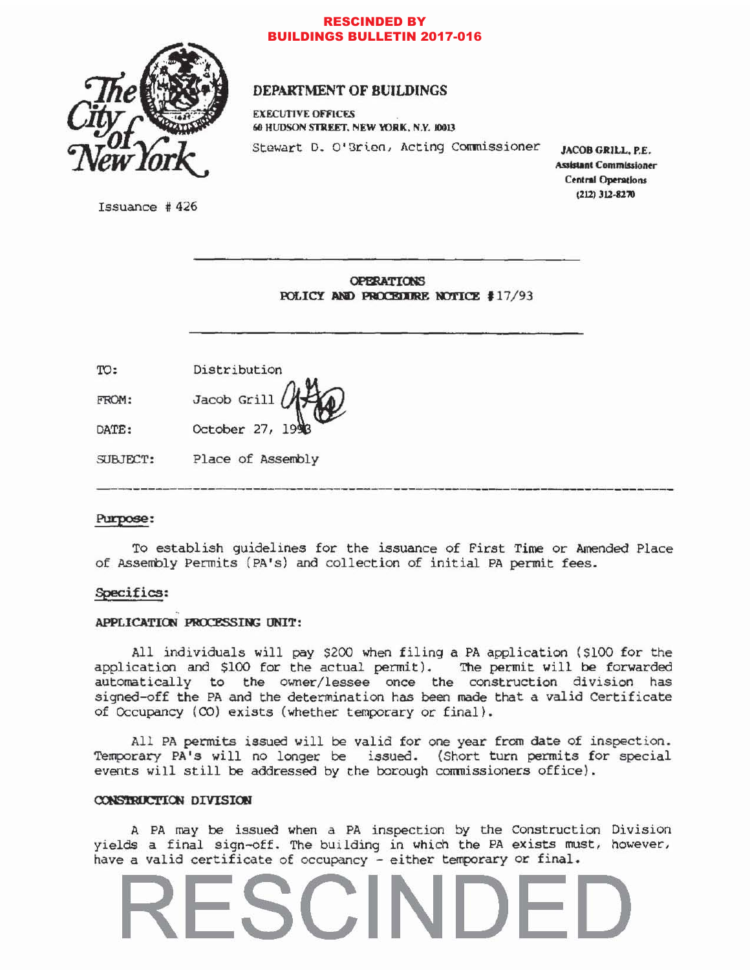

### **RESCINDED BY BUILDINGS BULLETIN 2017-016**

# DEPARTMENT OF BUILDINGS

**EXECUTIVE OFFICES** 60 HUDSON STREET, NEW YORK, N.Y. 10013

Stewart D. O'Brien, Acting Commissioner

JACOB GRILL, P.E. **Assistant Commissioner Central Operations**  $(212)$  312-8270

Issuance  $#426$ 

**OPERATIONS** POLICY AND PROCEDURE NOTICE #17/93

| TO:      | Distribution      |
|----------|-------------------|
| FROM:    | Jacob Grill (1)   |
| DATE:    | October 27, 1993  |
| SUBJECT: | Place of Assembly |

## Purpose:

To establish guidelines for the issuance of First Time or Amended Place of Assembly Permits (PA's) and collection of initial PA permit fees.

### Specifics:

### APPLICATION PROCESSING UNIT:

All individuals will pay \$200 when filing a PA application (\$100 for the application and \$100 for the actual permit). The permit will be forwarded automatically to the owner/lessee once the construction division has signed-off the PA and the determination has been made that a valid Certificate of Occupancy (CO) exists (whether temporary or final).

All PA permits issued will be valid for one year from date of inspection. Temporary PA's will no longer be issued. (Short turn permits for special events will still be addressed by the borough commissioners office).

### CONSTRUCTION DIVISION

A PA may be issued when a PA inspection by the Construction Division yields a final sign-off. The building in which the PA exists must, however, have a valid certificate of occupancy - either temporary or final.